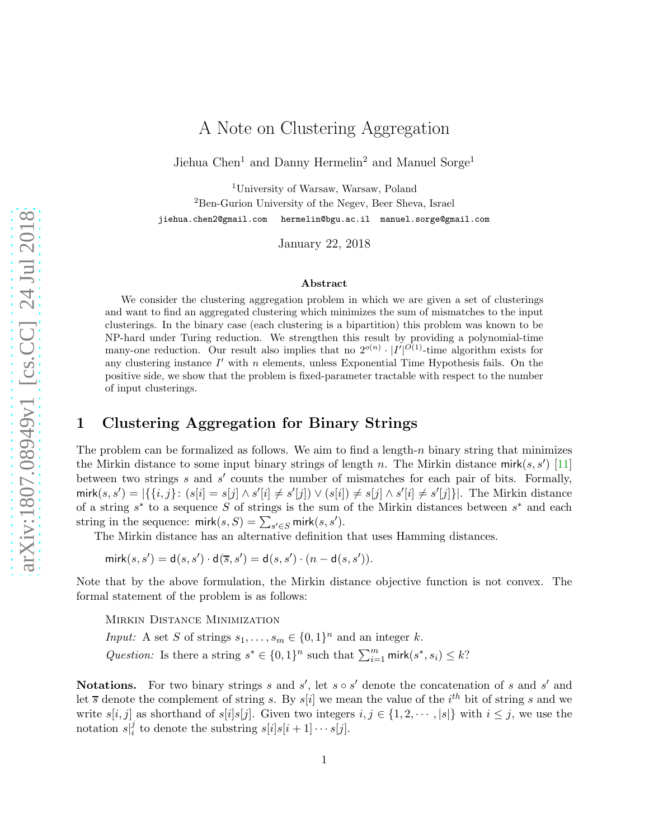# A Note on Clustering Aggregation

<span id="page-0-0"></span>Jiehua Chen<sup>1</sup> and Danny Hermelin<sup>2</sup> and Manuel Sorge<sup>1</sup>

<sup>1</sup>University of Warsaw, Warsaw, Poland

<sup>2</sup>Ben-Gurion University of the Negev, Beer Sheva, Israel

jiehua.chen2@gmail.com hermelin@bgu.ac.il manuel.sorge@gmail.com

January 22, 2018

#### Abstract

We consider the clustering aggregation problem in which we are given a set of clusterings and want to find an aggregated clustering which minimizes the sum of mismatches to the input clusterings. In the binary case (each clustering is a bipartition) this problem was known to be NP-hard under Turing reduction. We strengthen this result by providing a polynomial-time many-one reduction. Our result also implies that no  $2^{o(n)} \cdot |I'|^{O(1)}$ -time algorithm exists for any clustering instance  $I'$  with  $n$  elements, unless Exponential Time Hypothesis fails. On the positive side, we show that the problem is fixed-parameter tractable with respect to the number of input clusterings.

### 1 Clustering Aggregation for Binary Strings

The problem can be formalized as follows. We aim to find a length- $n$  binary string that minimizes the Mirkin distance to some input binary strings of length n. The Mirkin distance mirk $(s, s')$  [\[11](#page-10-0)] between two strings  $s$  and  $s'$  counts the number of mismatches for each pair of bits. Formally,  $\text{mirk}(s, s') = |\{\{i, j\}: (s[i] = s[j] \wedge s'[i] \neq s'[j]) \vee (s[i]) \neq s[j] \wedge s'[i] \neq s'[j]\}|.$  The Mirkin distance of a string  $s^*$  to a sequence S of strings is the sum of the Mirkin distances between  $s^*$  and each string in the sequence:  $\textsf{mirk}(s, S) = \sum_{s' \in S} \textsf{mirk}(s, s').$ 

The Mirkin distance has an alternative definition that uses Hamming distances.

 $mirk(s, s') = d(s, s') \cdot d(\overline{s}, s') = d(s, s') \cdot (n - d(s, s')).$ 

Note that by the above formulation, the Mirkin distance objective function is not convex. The formal statement of the problem is as follows:

Mirkin Distance Minimization

*Input:* A set S of strings  $s_1, \ldots, s_m \in \{0, 1\}^n$  and an integer k. Question: Is there a string  $s^* \in \{0,1\}^n$  such that  $\sum_{i=1}^m \text{mirk}(s^*, s_i) \leq k$ ?

**Notations.** For two binary strings s and s', let  $s \circ s'$  denote the concatenation of s and s' and let  $\overline{s}$  denote the complement of string s. By s[i] we mean the value of the i<sup>th</sup> bit of string s and we write  $s[i, j]$  as shorthand of  $s[i]s[j]$ . Given two integers  $i, j \in \{1, 2, \dots, |s|\}$  with  $i \leq j$ , we use the notation  $s_{i}^{j}$  $s_i^j$  to denote the substring  $s[i]s[i+1]\cdots s[j]$ .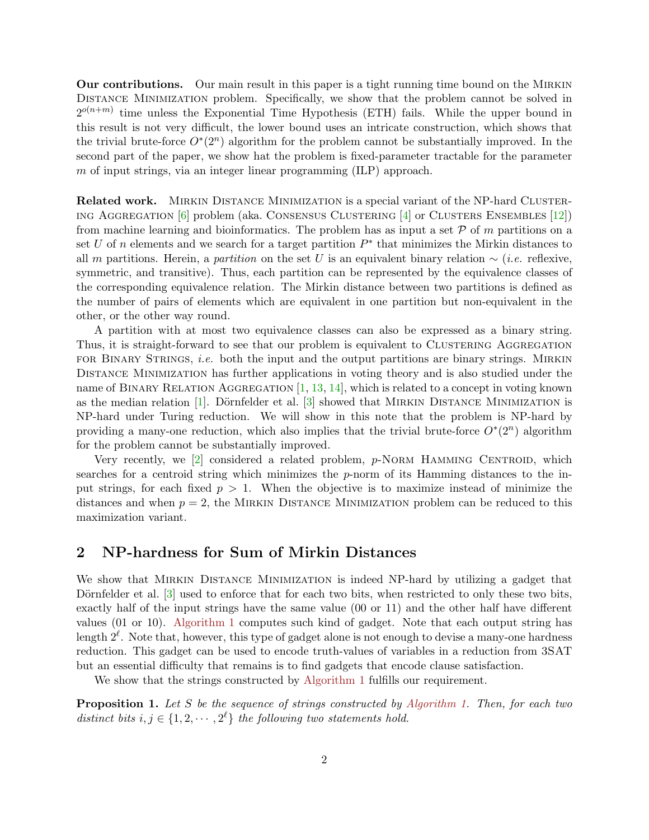<span id="page-1-1"></span>Our contributions. Our main result in this paper is a tight running time bound on the Mirkin Distance Minimization problem. Specifically, we show that the problem cannot be solved in  $2^{o(n+m)}$  time unless the Exponential Time Hypothesis (ETH) fails. While the upper bound in this result is not very difficult, the lower bound uses an intricate construction, which shows that the trivial brute-force  $O^*(2^n)$  algorithm for the problem cannot be substantially improved. In the second part of the paper, we show hat the problem is fixed-parameter tractable for the parameter m of input strings, via an integer linear programming  $(ILP)$  approach.

**Related work.** MIRKIN DISTANCE MINIMIZATION is a special variant of the NP-hard CLUSTERing Aggregation [\[6](#page-9-0)] problem (aka. Consensus Clustering [\[4](#page-9-1)] or Clusters Ensembles [\[12\]](#page-10-1)) from machine learning and bioinformatics. The problem has as input a set  $P$  of m partitions on a set U of n elements and we search for a target partition  $P^*$  that minimizes the Mirkin distances to all m partitions. Herein, a partition on the set U is an equivalent binary relation  $\sim (i.e.$  reflexive, symmetric, and transitive). Thus, each partition can be represented by the equivalence classes of the corresponding equivalence relation. The Mirkin distance between two partitions is defined as the number of pairs of elements which are equivalent in one partition but non-equivalent in the other, or the other way round.

A partition with at most two equivalence classes can also be expressed as a binary string. Thus, it is straight-forward to see that our problem is equivalent to CLUSTERING AGGREGATION FOR BINARY STRINGS, *i.e.* both the input and the output partitions are binary strings. MIRKIN Distance Minimization has further applications in voting theory and is also studied under the name of BINARY RELATION AGGREGATION  $[1, 13, 14]$  $[1, 13, 14]$  $[1, 13, 14]$  $[1, 13, 14]$  $[1, 13, 14]$  $[1, 13, 14]$ , which is related to a concept in voting known as the median relation  $[1]$ . Dörnfelder et al.  $[3]$  showed that MIRKIN DISTANCE MINIMIZATION is NP-hard under Turing reduction. We will show in this note that the problem is NP-hard by providing a many-one reduction, which also implies that the trivial brute-force  $O^*(2^n)$  algorithm for the problem cannot be substantially improved.

Very recently, we  $[2]$  considered a related problem,  $p$ -NORM HAMMING CENTROID, which searches for a centroid string which minimizes the  $p$ -norm of its Hamming distances to the input strings, for each fixed  $p > 1$ . When the objective is to maximize instead of minimize the distances and when  $p = 2$ , the MIRKIN DISTANCE MINIMIZATION problem can be reduced to this maximization variant.

#### 2 NP-hardness for Sum of Mirkin Distances

We show that MIRKIN DISTANCE MINIMIZATION is indeed NP-hard by utilizing a gadget that Dörnfelder et al.  $[3]$  used to enforce that for each two bits, when restricted to only these two bits, exactly half of the input strings have the same value (00 or 11) and the other half have different values (01 or 10). [Algorithm 1](#page-2-0) computes such kind of gadget. Note that each output string has length  $2^{\ell}$ . Note that, however, this type of gadget alone is not enough to devise a many-one hardness reduction. This gadget can be used to encode truth-values of variables in a reduction from 3SAT but an essential difficulty that remains is to find gadgets that encode clause satisfaction.

<span id="page-1-0"></span>We show that the strings constructed by [Algorithm 1](#page-2-0) fulfills our requirement.

**Proposition 1.** Let S be the sequence of strings constructed by [Algorithm 1.](#page-2-0) Then, for each two distinct bits  $i, j \in \{1, 2, \dots, 2^{\ell}\}\$  the following two statements hold.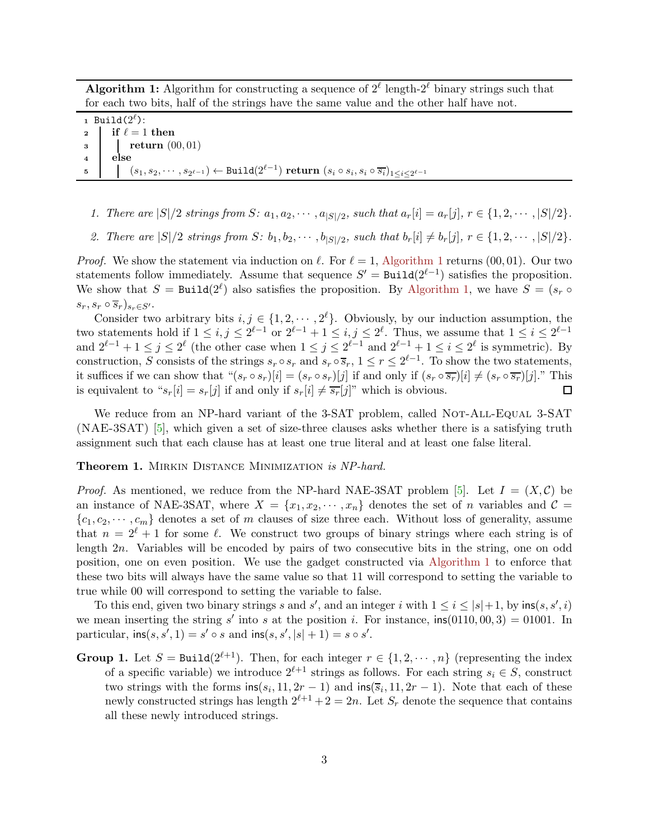<span id="page-2-2"></span>**Algorithm 1:** Algorithm for constructing a sequence of  $2^{\ell}$  length- $2^{\ell}$  binary strings such that for each two bits, half of the strings have the same value and the other half have not.

<span id="page-2-0"></span> $_1$  Build $(2^\ell)$ : 2 if  $\ell = 1$  then <sup>3</sup> return (00, 01) <sup>4</sup> else  $\mathfrak{s} \quad \Big\vert \quad \big\vert \quad (s_1,s_2,\cdots,s_{2^{\ell-1}}) \leftarrow \texttt{Build}(2^{\ell-1}) \textbf{ return } (s_i \circ s_i, s_i \circ \overline{s_i})_{1 \leq i \leq 2^{\ell-1}}$ 

- 1. There are  $|S|/2$  strings from S:  $a_1, a_2, \cdots, a_{|S|/2}$ , such that  $a_r[i] = a_r[j], r \in \{1, 2, \cdots, |S|/2\}$ .
- 2. There are  $|S|/2$  strings from  $S: b_1, b_2, \cdots, b_{|S|/2}$ , such that  $b_r[i] \neq b_r[j], r \in \{1, 2, \cdots, |S|/2\}$ .

*Proof.* We show the statement via induction on  $\ell$ . For  $\ell = 1$ , [Algorithm 1](#page-2-0) returns (00,01). Our two statements follow immediately. Assume that sequence  $S' = \text{Build}(2^{\ell-1})$  satisfies the proposition. We show that  $S = \text{Build}(2^{\ell})$  also satisfies the proposition. By [Algorithm 1,](#page-2-0) we have  $S = (s_r \circ$  $s_r, s_r \circ \overline{s}_r|_{s_r \in S'}.$ 

Consider two arbitrary bits  $i, j \in \{1, 2, \dots, 2^{\ell}\}\$ . Obviously, by our induction assumption, the two statements hold if  $1 \le i, j \le 2^{\ell-1}$  or  $2^{\ell-1} + 1 \le i, j \le 2^{\ell}$ . Thus, we assume that  $1 \le i \le 2^{\ell-1}$ and  $2^{\ell-1}+1 \leq j \leq 2^{\ell}$  (the other case when  $1 \leq j \leq 2^{\ell-1}$  and  $2^{\ell-1}+1 \leq i \leq 2^{\ell}$  is symmetric). By construction, S consists of the strings  $s_r \circ s_r$  and  $s_r \circ \overline{s}_r$ ,  $1 \le r \le 2^{\ell-1}$ . To show the two statements, it suffices if we can show that " $(s_r \circ s_r)[i] = (s_r \circ s_r)[j]$  if and only if  $(s_r \circ \overline{s_r})[i] \neq (s_r \circ \overline{s_r})[j]$ ." This is equivalent to " $s_r[i] = s_r[j]$  if and only if  $s_r[i] \neq \overline{s_r}[j]$ " which is obvious.  $\Box$ 

We reduce from an NP-hard variant of the 3-SAT problem, called NOT-ALL-EQUAL 3-SAT (NAE-3SAT) [\[5](#page-9-5)], which given a set of size-three clauses asks whether there is a satisfying truth assignment such that each clause has at least one true literal and at least one false literal.

<span id="page-2-1"></span>Theorem 1. MIRKIN DISTANCE MINIMIZATION is NP-hard.

*Proof.* As mentioned, we reduce from the NP-hard NAE-3SAT problem [\[5\]](#page-9-5). Let  $I = (X, \mathcal{C})$  be an instance of NAE-3SAT, where  $X = \{x_1, x_2, \dots, x_n\}$  denotes the set of n variables and  $\mathcal{C} =$  ${c_1, c_2, \dots, c_m}$  denotes a set of m clauses of size three each. Without loss of generality, assume that  $n = 2^{\ell} + 1$  for some  $\ell$ . We construct two groups of binary strings where each string is of length 2n. Variables will be encoded by pairs of two consecutive bits in the string, one on odd position, one on even position. We use the gadget constructed via [Algorithm 1](#page-2-0) to enforce that these two bits will always have the same value so that 11 will correspond to setting the variable to true while 00 will correspond to setting the variable to false.

To this end, given two binary strings s and s', and an integer i with  $1 \leq i \leq |s|+1$ , by  $\text{ins}(s, s', i)$ we mean inserting the string s' into s at the position i. For instance,  $\text{ins}(0110, 00, 3) = 01001$ . In particular,  $\text{ins}(s, s', 1) = s' \circ s$  and  $\text{ins}(s, s', |s| + 1) = s \circ s'.$ 

**Group 1.** Let  $S = \text{Build}(2^{\ell+1})$ . Then, for each integer  $r \in \{1, 2, \dots, n\}$  (representing the index of a specific variable) we introduce  $2^{\ell+1}$  strings as follows. For each string  $s_i \in S$ , construct two strings with the forms  $\text{ins}(s_i, 11, 2r - 1)$  and  $\text{ins}(\overline{s}_i, 11, 2r - 1)$ . Note that each of these newly constructed strings has length  $2^{\ell+1}+2=2n$ . Let  $S_r$  denote the sequence that contains all these newly introduced strings.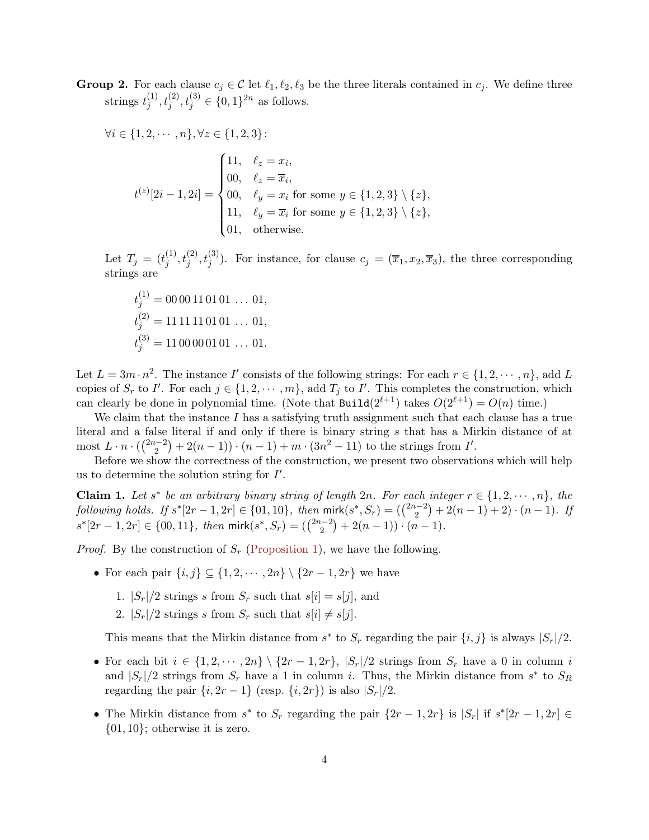**Group 2.** For each clause  $c_j \in \mathcal{C}$  let  $\ell_1, \ell_2, \ell_3$  be the three literals contained in  $c_j$ . We define three strings  $t_i^{(1)}$  $j^{(1)}, t_j^{(2)}, t_j^{(3)} \in \{0, 1\}^{2n}$  as follows.

$$
\forall i \in \{1, 2, \cdots, n\}, \forall z \in \{1, 2, 3\}:
$$
  

$$
t^{(z)}[2i - 1, 2i] = \begin{cases} 11, & \ell_z = x_i, \\ 00, & \ell_z = \overline{x}_i, \\ 00, & \ell_y = x_i \text{ for some } y \in \{1, 2, 3\} \setminus \{z\}, \\ 11, & \ell_y = \overline{x}_i \text{ for some } y \in \{1, 2, 3\} \setminus \{z\}, \\ 01, & \text{otherwise.} \end{cases}
$$

Let  $T_j = (t_j^{(1)})$  $(j, t_j^{(1)}, t_j^{(2)}, t_j^{(3)})$ . For instance, for clause  $c_j = (\overline{x}_1, x_2, \overline{x}_3)$ , the three corresponding strings are

$$
t_j^{(1)} = 0000110101 \dots 01,
$$
  
\n
$$
t_j^{(2)} = 1111110101 \dots 01,
$$
  
\n
$$
t_j^{(3)} = 1100000101 \dots 01.
$$

Let  $L = 3m \cdot n^2$ . The instance I' consists of the following strings: For each  $r \in \{1, 2, \dots, n\}$ , add L copies of  $S_r$  to I'. For each  $j \in \{1, 2, \cdots, m\}$ , add  $T_j$  to I'. This completes the construction, which can clearly be done in polynomial time. (Note that  $\text{Build}(2^{\ell+1})$  takes  $O(2^{\ell+1}) = O(n)$  time.)

We claim that the instance  $I$  has a satisfying truth assignment such that each clause has a true literal and a false literal if and only if there is binary string s that has a Mirkin distance of at most  $L \cdot n \cdot \left(\binom{2n-2}{2}\right)$  $\binom{n-2}{2} + 2(n-1) \cdot (n-1) + m \cdot (3n^2 - 11)$  to the strings from I'.

<span id="page-3-0"></span>Before we show the correctness of the construction, we present two observations which will help us to determine the solution string for  $I'$ .

**Claim 1.** Let s<sup>\*</sup> be an arbitrary binary string of length 2n. For each integer  $r \in \{1, 2, \dots, n\}$ , the  $\text{following holds. If } s^*[2r-1, 2r] \in \{01, 10\}, \text{ then } \textsf{mirk}(s^*, S_r) = \binom{2n-2}{2}$  $\binom{n-2}{2} + 2(n-1) + 2) \cdot (n-1)$ . If  $s^*[2r-1, 2r] \in \{00, 11\}$ , then mirk $(s^*, S_r) = \binom{2n-2}{2}$  $\binom{n-2}{2} + 2(n-1) \cdot (n-1).$ 

*Proof.* By the construction of  $S_r$  [\(Proposition 1\)](#page-1-0), we have the following.

- For each pair  $\{i, j\} \subseteq \{1, 2, \cdots, 2n\} \setminus \{2r 1, 2r\}$  we have
	- 1.  $|S_r|/2$  strings s from  $S_r$  such that  $s[i] = s[j]$ , and
	- 2.  $|S_r|/2$  strings s from  $S_r$  such that  $s[i] \neq s[j]$ .

This means that the Mirkin distance from  $s^*$  to  $S_r$  regarding the pair  $\{i, j\}$  is always  $|S_r|/2$ .

- For each bit  $i \in \{1, 2, \dots, 2n\} \setminus \{2r 1, 2r\}, |S_r|/2$  strings from  $S_r$  have a 0 in column i and  $|S_r|/2$  strings from  $S_r$  have a 1 in column i. Thus, the Mirkin distance from  $s^*$  to  $S_R$ regarding the pair  $\{i, 2r - 1\}$  (resp.  $\{i, 2r\}$ ) is also  $|S_r|/2$ .
- The Mirkin distance from  $s^*$  to  $S_r$  regarding the pair  $\{2r-1, 2r\}$  is  $|S_r|$  if  $s^*[2r-1, 2r] \in$  $\{01, 10\}$ ; otherwise it is zero.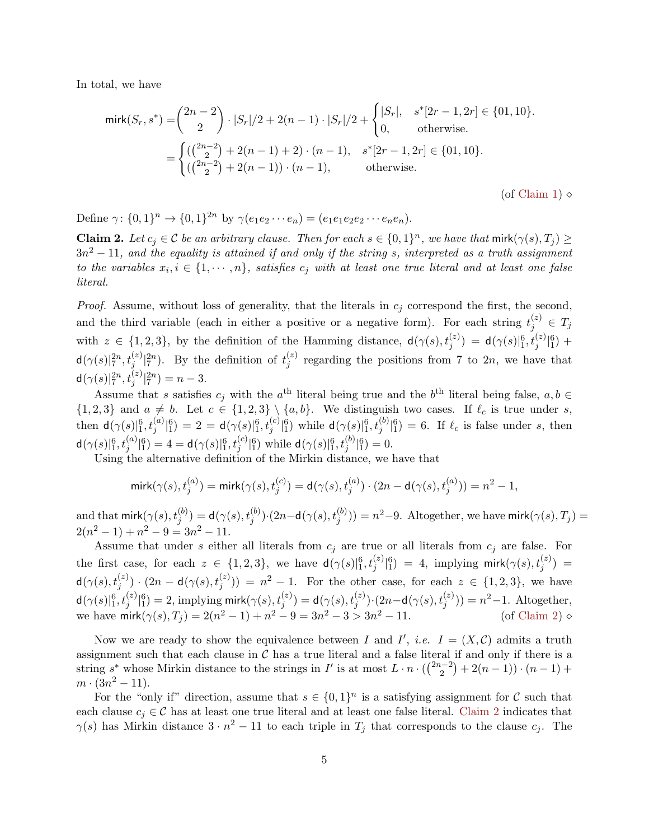In total, we have

$$
\text{mirk}(S_r, s^*) = {2n - 2 \choose 2} \cdot |S_r|/2 + 2(n - 1) \cdot |S_r|/2 + \begin{cases} |S_r|, & s^*[2r - 1, 2r] \in \{01, 10\}.\\ 0, & \text{otherwise.} \end{cases}
$$

$$
= \begin{cases} ((\frac{2n - 2}{2}) + 2(n - 1) + 2) \cdot (n - 1), & s^*[2r - 1, 2r] \in \{01, 10\}.\\ ((\frac{2n - 2}{2}) + 2(n - 1)) \cdot (n - 1), & \text{otherwise.} \end{cases}
$$

(of [Claim 1\)](#page-3-0)  $\diamond$ 

<span id="page-4-0"></span>Define  $\gamma: \{0,1\}^n \to \{0,1\}^{2n}$  by  $\gamma(e_1e_2 \cdots e_n) = (e_1e_1e_2e_2 \cdots e_ne_n)$ .

**Claim 2.** Let  $c_j \in \mathcal{C}$  be an arbitrary clause. Then for each  $s \in \{0,1\}^n$ , we have that  $\text{mirk}(\gamma(s), T_j) \geq$  $3n^2 - 11$ , and the equality is attained if and only if the string s, interpreted as a truth assignment to the variables  $x_i, i \in \{1, \dots, n\}$ , satisfies  $c_j$  with at least one true literal and at least one false literal.

*Proof.* Assume, without loss of generality, that the literals in  $c_i$  correspond the first, the second, and the third variable (each in either a positive or a negative form). For each string  $t_j^{(z)} \in T_j$ with  $z \in \{1,2,3\}$ , by the definition of the Hamming distance,  $d(\gamma(s), t_j^{(z)}) = d(\gamma(s)|_1^6, t_j^{(z)}|_1^6) +$  $d(\gamma(s)|_7^{2n}, t_j^{(z)}|_7^{2n}).$  By the definition of  $t_j^{(z)}$  $j^{(2)}$  regarding the positions from 7 to 2n, we have that  $\mathsf{d}(\gamma(s)|_7^{2n},t_j^{(z)}|_7^{2n}) = n-3.$ j

Assume that s satisfies  $c_j$  with the  $a^{\text{th}}$  literal being true and the  $b^{\text{th}}$  literal being false,  $a, b \in$  ${1, 2, 3}$  and  $a \neq b$ . Let  $c \in {1, 2, 3} \setminus {a, b}$ . We distinguish two cases. If  $\ell_c$  is true under s, then  $d(\gamma(s)|_1^6, t_j^{(a)}|_1^6) = 2 = d(\gamma(s)|_1^6, t_j^{(c)}|_1^6)$  while  $d(\gamma(s)|_1^6, t_j^{(b)}|_1^6) = 6$ . If  $\ell_c$  is false under s, then  $d(\gamma(s)|_1^6, t_j^{(a)}|_1^6) = 4 = d(\gamma(s)|_1^6, t_j^{(c)}|_1^6)$  while  $d(\gamma(s)|_1^6, t_j^{(b)}|_1^6) = 0$ .

Using the alternative definition of the Mirkin distance, we have that

$$
\text{mirk}(\gamma(s), t_j^{(a)}) = \text{mirk}(\gamma(s), t_j^{(c)}) = \mathsf{d}(\gamma(s), t_j^{(a)}) \cdot (2n - \mathsf{d}(\gamma(s), t_j^{(a)})) = n^2 - 1,
$$

and that  $\mathsf{mirk}(\gamma(s), t_j^{(b)}) = \mathsf{d}(\gamma(s), t_j^{(b)}) \cdot (2n - \mathsf{d}(\gamma(s), t_j^{(b)})) = n^2 - 9.$  Altogether, we have  $\mathsf{mirk}(\gamma(s), T_j) = \mathsf{d}(\gamma(s), t_j^{(b)})$  $2(n^2-1)+n^2-9=3n^2-11.$ 

Assume that under s either all literals from  $c_j$  are true or all literals from  $c_j$  are false. For the first case, for each  $z \in \{1,2,3\}$ , we have  $d(\gamma(s)|_1^6, t_j^{(z)}|_1^6) = 4$ , implying mirk $(\gamma(s), t_j^{(z)}) =$  $d(\gamma(s), t_j^{(z)}) \cdot (2n - d(\gamma(s), t_j^{(z)})) = n^2 - 1$ . For the other case, for each  $z \in \{1, 2, 3\}$ , we have  $d(\gamma(s)|_1^6,t_j^{(z)}|_1^6)=2$ , implying mirk $(\gamma(s),t_j^{(z)})=d(\gamma(s),t_j^{(z)})\cdot(2n-d(\gamma(s),t_j^{(z)}))=n^2-1$ . Altogether, we have  $\text{mirk}(\gamma(s), T_j) = 2(n^2 - 1) + n^2 - 9 = 3n^2 - 3 > 3n^2 - 11.$  (of [Claim 2\)](#page-4-0)  $\circ$ 

Now we are ready to show the equivalence between I and I', *i.e.*  $I = (X, C)$  admits a truth assignment such that each clause in  $C$  has a true literal and a false literal if and only if there is a string s<sup>\*</sup> whose Mirkin distance to the strings in I' is at most  $L \cdot n \cdot \left(\frac{2n-2}{2}\right)$  $\binom{n-2}{2} + 2(n-1) \cdot (n-1) +$  $m \cdot (3n^2 - 11).$ 

For the "only if" direction, assume that  $s \in \{0,1\}^n$  is a satisfying assignment for C such that each clause  $c_j \in \mathcal{C}$  has at least one true literal and at least one false literal. [Claim 2](#page-4-0) indicates that  $\gamma(s)$  has Mirkin distance  $3 \cdot n^2 - 11$  to each triple in  $T_j$  that corresponds to the clause  $c_j$ . The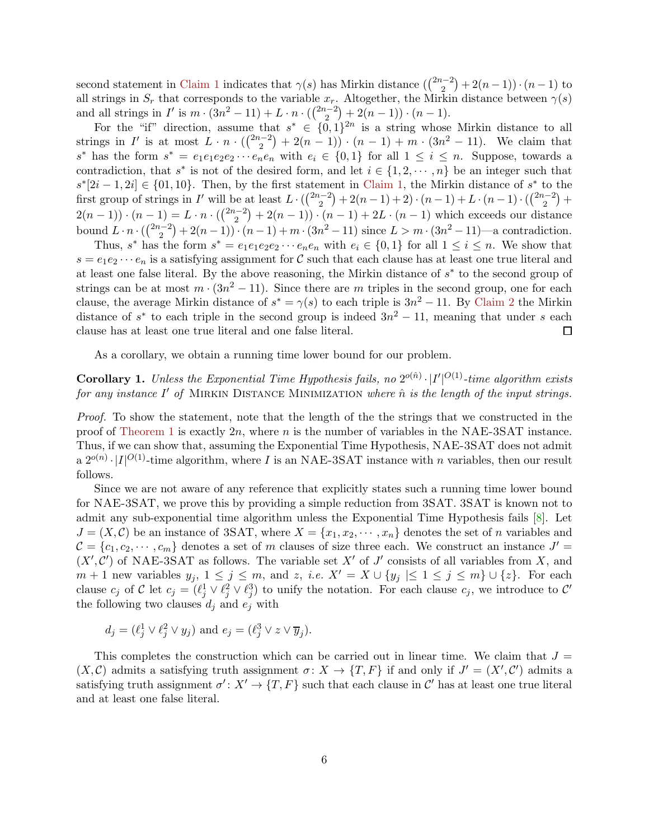<span id="page-5-0"></span>second statement in [Claim 1](#page-3-0) indicates that  $\gamma(s)$  has Mirkin distance  $\left(\binom{2n-2}{2}\right)$  $\binom{n-2}{2} + 2(n-1) \cdot (n-1)$  to all strings in  $S_r$  that corresponds to the variable  $x_r$ . Altogether, the Mirkin distance between  $\gamma(s)$ and all strings in  $I'$  is  $m \cdot (3n^2 - 11) + L \cdot n \cdot \left(\frac{2n-2}{2}\right)$  $\binom{n-2}{2} + 2(n-1) \cdot (n-1).$ 

For the "if" direction, assume that  $s^* \in \{0,1\}^{2n}$  is a string whose Mirkin distance to all strings in  $I'$  is at most  $L \cdot n \cdot \binom{2n-2}{2}$  $\binom{n-2}{2} + 2(n-1) \cdot (n-1) + m \cdot (3n^2 - 11)$ . We claim that s<sup>\*</sup> has the form  $s^* = e_1e_1e_2e_2 \cdots e_ne_n$  with  $e_i \in \{0,1\}$  for all  $1 \leq i \leq n$ . Suppose, towards a contradiction, that  $s^*$  is not of the desired form, and let  $i \in \{1, 2, \dots, n\}$  be an integer such that  $s^*[2i-1, 2i] \in \{01, 10\}$ . Then, by the first statement in [Claim 1,](#page-3-0) the Mirkin distance of  $s^*$  to the first group of strings in I' will be at least  $L \cdot (\binom{2n-2}{2}$  $\binom{n-2}{2} + 2(n-1) + 2) \cdot (n-1) + L \cdot (n-1) \cdot (\binom{2n-2}{2})$  $\binom{n-2}{2} +$  $2(n-1)) \cdot (n-1) = L \cdot n \cdot \left(\frac{2n-2}{2}\right)$  $\binom{n-2}{2} + 2(n-1) \cdot (n-1) + 2L \cdot (n-1)$  which exceeds our distance bound  $L \cdot n \cdot \left(\frac{2n-2}{2}\right)$  $\binom{n-2}{2} + 2(n-1) \cdot (n-1) + m \cdot (3n^2 - 11)$  since  $L > m \cdot (3n^2 - 11)$ —a contradiction.

Thus, s<sup>\*</sup> has the form  $s^* = e_1e_1e_2e_2\cdots e_ne_n$  with  $e_i \in \{0,1\}$  for all  $1 \le i \le n$ . We show that  $s = e_1e_2 \cdots e_n$  is a satisfying assignment for C such that each clause has at least one true literal and at least one false literal. By the above reasoning, the Mirkin distance of  $s^*$  to the second group of strings can be at most  $m \cdot (3n^2 - 11)$ . Since there are m triples in the second group, one for each clause, the average Mirkin distance of  $s^* = \gamma(s)$  to each triple is  $3n^2 - 11$ . By [Claim 2](#page-4-0) the Mirkin distance of  $s^*$  to each triple in the second group is indeed  $3n^2 - 11$ , meaning that under s each clause has at least one true literal and one false literal.  $\Box$ 

As a corollary, we obtain a running time lower bound for our problem.

#### **Corollary 1.** Unless the Exponential Time Hypothesis fails, no  $2^{o(\hat{n})} \cdot |I'|^{O(1)}$ -time algorithm exists for any instance  $I'$  of MIRKIN DISTANCE MINIMIZATION where  $\hat{n}$  is the length of the input strings.

Proof. To show the statement, note that the length of the the strings that we constructed in the proof of [Theorem 1](#page-2-1) is exactly  $2n$ , where n is the number of variables in the NAE-3SAT instance. Thus, if we can show that, assuming the Exponential Time Hypothesis, NAE-3SAT does not admit a  $2^{o(n)} \cdot |I|^{O(1)}$ -time algorithm, where I is an NAE-3SAT instance with n variables, then our result follows.

Since we are not aware of any reference that explicitly states such a running time lower bound for NAE-3SAT, we prove this by providing a simple reduction from 3SAT. 3SAT is known not to admit any sub-exponential time algorithm unless the Exponential Time Hypothesis fails [\[8](#page-9-6)]. Let  $J = (X, \mathcal{C})$  be an instance of 3SAT, where  $X = \{x_1, x_2, \dots, x_n\}$  denotes the set of n variables and  $\mathcal{C} = \{c_1, c_2, \cdots, c_m\}$  denotes a set of m clauses of size three each. We construct an instance  $J' =$  $(X',\mathcal{C}')$  of NAE-3SAT as follows. The variable set X' of J' consists of all variables from X, and  $m+1$  new variables  $y_j$ ,  $1 \leq j \leq m$ , and  $z$ , *i.e.*  $X' = X \cup \{y_j \mid \leq 1 \leq j \leq m\} \cup \{z\}$ . For each clause  $c_j$  of C let  $c_j = (\ell_j^1 \vee \ell_j^2 \vee \ell_j^3)$  to unify the notation. For each clause  $c_j$ , we introduce to C' the following two clauses  $d_i$  and  $e_j$  with

$$
d_j = (\ell_j^1 \vee \ell_j^2 \vee y_j)
$$
 and  $e_j = (\ell_j^3 \vee z \vee \overline{y}_j).$ 

This completes the construction which can be carried out in linear time. We claim that  $J =$  $(X, \mathcal{C})$  admits a satisfying truth assignment  $\sigma: X \to \{T, F\}$  if and only if  $J' = (X', \mathcal{C}')$  admits a satisfying truth assignment  $\sigma' \colon X' \to \{T, F\}$  such that each clause in  $\mathcal{C}'$  has at least one true literal and at least one false literal.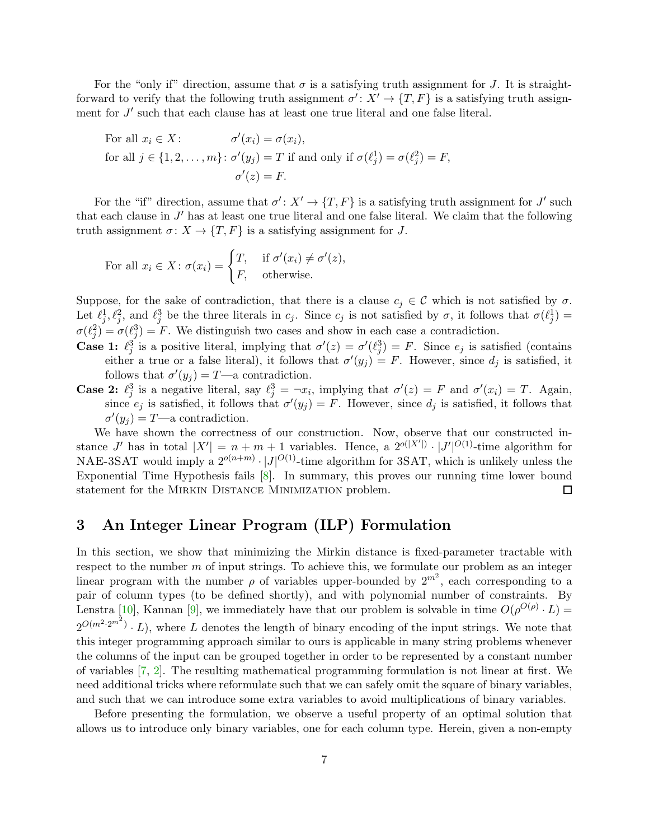<span id="page-6-0"></span>For the "only if" direction, assume that  $\sigma$  is a satisfying truth assignment for J. It is straightforward to verify that the following truth assignment  $\sigma' : X' \to \{T, F\}$  is a satisfying truth assignment for  $J'$  such that each clause has at least one true literal and one false literal.

For all 
$$
x_i \in X
$$
:  
for all  $j \in \{1, 2, ..., m\}$ :  $\sigma'(x_j) = T$  if and only if  $\sigma(\ell_j^1) = \sigma(\ell_j^2) = F$ ,  
 $\sigma'(z) = F$ .

For the "if" direction, assume that  $\sigma' : X' \to \{T, F\}$  is a satisfying truth assignment for J' such that each clause in  $J'$  has at least one true literal and one false literal. We claim that the following truth assignment  $\sigma: X \to \{T, F\}$  is a satisfying assignment for J.

For all 
$$
x_i \in X
$$
:  $\sigma(x_i) = \begin{cases} T, & \text{if } \sigma'(x_i) \neq \sigma'(z), \\ F, & \text{otherwise.} \end{cases}$ 

Suppose, for the sake of contradiction, that there is a clause  $c_j \in \mathcal{C}$  which is not satisfied by  $\sigma$ . Let  $\ell_j^1, \ell_j^2$ , and  $\ell_j^3$  be the three literals in  $c_j$ . Since  $c_j$  is not satisfied by  $\sigma$ , it follows that  $\sigma(\ell_j^1)$  $\sigma(\ell_j^2) = \sigma(\ell_j^3) = F$ . We distinguish two cases and show in each case a contradiction.

- **Case 1:**  $\ell_j^3$  is a positive literal, implying that  $\sigma'(z) = \sigma'(\ell_j^3) = F$ . Since  $e_j$  is satisfied (contains either a true or a false literal), it follows that  $\sigma'(y_j) = F$ . However, since  $d_j$  is satisfied, it follows that  $\sigma'(y_j) = T$ —a contradiction.
- **Case 2:**  $\ell_j^3$  is a negative literal, say  $\ell_j^3 = \neg x_i$ , implying that  $\sigma'(z) = F$  and  $\sigma'(x_i) = T$ . Again, j since  $e_j$  is satisfied, it follows that  $\sigma'(y_j) = F$ . However, since  $d_j$  is satisfied, it follows that  $\sigma'(y_j) = T$ —a contradiction.

We have shown the correctness of our construction. Now, observe that our constructed instance J' has in total  $|X'| = n + m + 1$  variables. Hence, a  $2^{o(|X'|)} \cdot |J'|^{O(1)}$ -time algorithm for NAE-3SAT would imply a  $2^{o(n+m)} \cdot |J|^{O(1)}$ -time algorithm for 3SAT, which is unlikely unless the Exponential Time Hypothesis fails [\[8\]](#page-9-6). In summary, this proves our running time lower bound statement for the Mirkin Distance Minimization problem.  $\Box$ 

## 3 An Integer Linear Program (ILP) Formulation

In this section, we show that minimizing the Mirkin distance is fixed-parameter tractable with respect to the number  $m$  of input strings. To achieve this, we formulate our problem as an integer linear program with the number  $\rho$  of variables upper-bounded by  $2^{m^2}$ , each corresponding to a pair of column types (to be defined shortly), and with polynomial number of constraints. By Lenstra [\[10](#page-10-4)], Kannan [\[9\]](#page-10-5), we immediately have that our problem is solvable in time  $O(\rho^{O(\rho)} \cdot L)$  =  $2^{O(m^2 \cdot 2^{m^2})} \cdot L$ , where L denotes the length of binary encoding of the input strings. We note that this integer programming approach similar to ours is applicable in many string problems whenever the columns of the input can be grouped together in order to be represented by a constant number of variables [\[7](#page-9-7), [2](#page-9-4)]. The resulting mathematical programming formulation is not linear at first. We need additional tricks where reformulate such that we can safely omit the square of binary variables, and such that we can introduce some extra variables to avoid multiplications of binary variables.

Before presenting the formulation, we observe a useful property of an optimal solution that allows us to introduce only binary variables, one for each column type. Herein, given a non-empty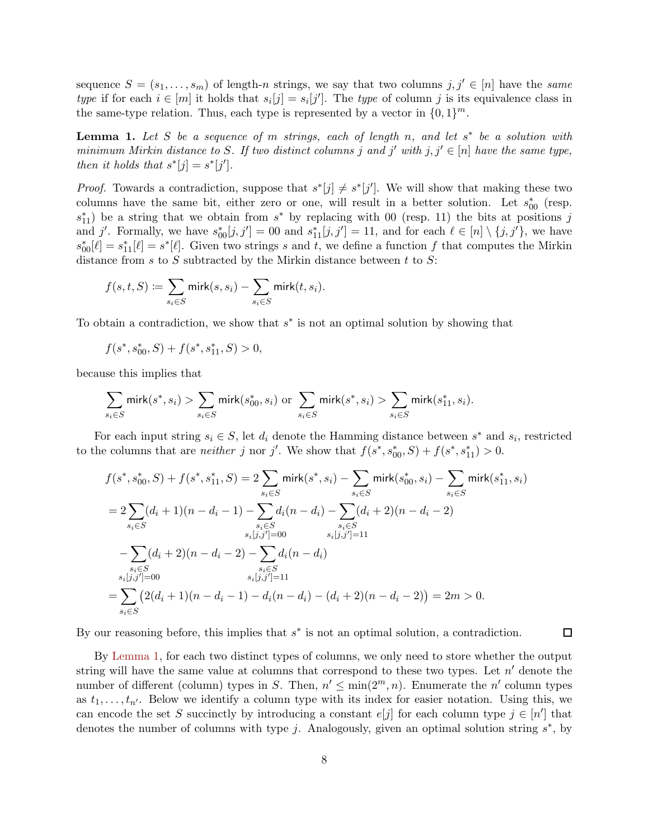sequence  $S = (s_1, \ldots, s_m)$  of length-n strings, we say that two columns  $j, j' \in [n]$  have the same type if for each  $i \in [m]$  it holds that  $s_i[j] = s_i[j']$ . The type of column j is its equivalence class in the same-type relation. Thus, each type is represented by a vector in  $\{0,1\}^m$ .

<span id="page-7-0"></span>**Lemma 1.** Let S be a sequence of m strings, each of length n, and let  $s^*$  be a solution with minimum Mirkin distance to S. If two distinct columns j and j' with  $j, j' \in [n]$  have the same type, then it holds that  $s^*[j] = s^*[j']$ .

*Proof.* Towards a contradiction, suppose that  $s^*[j] \neq s^*[j']$ . We will show that making these two columns have the same bit, either zero or one, will result in a better solution. Let  $s_{00}^*$  (resp.  $s_{11}^*$ ) be a string that we obtain from  $s^*$  by replacing with 00 (resp. 11) the bits at positions j and j'. Formally, we have  $s_{00}^*[j,j'] = 00$  and  $s_{11}^*[j,j'] = 11$ , and for each  $\ell \in [n] \setminus \{j,j'\}$ , we have  $s_{00}^*[\ell] = s_{11}^*[\ell] = s^*[\ell]$ . Given two strings s and t, we define a function f that computes the Mirkin distance from s to S subtracted by the Mirkin distance between t to  $S$ :

$$
f(s,t,S) \coloneqq \sum_{s_i \in S} \mathsf{mirk}(s,s_i) - \sum_{s_i \in S} \mathsf{mirk}(t,s_i).
$$

To obtain a contradiction, we show that  $s^*$  is not an optimal solution by showing that

$$
f(s^*, s^*_{00}, S) + f(s^*, s^*_{11}, S) > 0,
$$

because this implies that

$$
\sum_{s_i \in S} \textsf{mirk}(s^*,s_i) > \sum_{s_i \in S} \textsf{mirk}(s^*_{00},s_i) \text{ or } \sum_{s_i \in S} \textsf{mirk}(s^*,s_i) > \sum_{s_i \in S} \textsf{mirk}(s^*_{11},s_i).
$$

For each input string  $s_i \in S$ , let  $d_i$  denote the Hamming distance between  $s^*$  and  $s_i$ , restricted to the columns that are *neither* j nor j'. We show that  $f(s^*, s^*_{00}, S) + f(s^*, s^*_{11}) > 0$ .

$$
f(s^*, s_{00}^*, S) + f(s^*, s_{11}^*, S) = 2 \sum_{s_i \in S} \text{mirk}(s^*, s_i) - \sum_{s_i \in S} \text{mirk}(s_{00}^*, s_i) - \sum_{s_i \in S} \text{mirk}(s_{11}^*, s_i)
$$
  
= 
$$
2 \sum_{s_i \in S} (d_i + 1)(n - d_i - 1) - \sum_{s_i \in S} d_i(n - d_i) - \sum_{s_i \in S} (d_i + 2)(n - d_i - 2)
$$
  
= 
$$
\sum_{s_i \in S} (d_i + 2)(n - d_i - 2) - \sum_{s_i \in S} d_i(n - d_i)
$$
  
= 
$$
\sum_{s_i \in S} (d_i + 2)(n - d_i - 2) - \sum_{s_i \in S} d_i(n - d_i)
$$
  
= 
$$
\sum_{s_i \in S} (2(d_i + 1)(n - d_i - 1) - d_i(n - d_i) - (d_i + 2)(n - d_i - 2)) = 2m > 0.
$$

By our reasoning before, this implies that  $s^*$  is not an optimal solution, a contradiction.

 $\Box$ 

By [Lemma 1,](#page-7-0) for each two distinct types of columns, we only need to store whether the output string will have the same value at columns that correspond to these two types. Let  $n'$  denote the number of different (column) types in S. Then,  $n' \n\t\leq \min(2^m, n)$ . Enumerate the n' column types as  $t_1, \ldots, t_{n'}$ . Below we identify a column type with its index for easier notation. Using this, we can encode the set S succinctly by introducing a constant  $e[j]$  for each column type  $j \in [n']$  that denotes the number of columns with type j. Analogously, given an optimal solution string  $s^*$ , by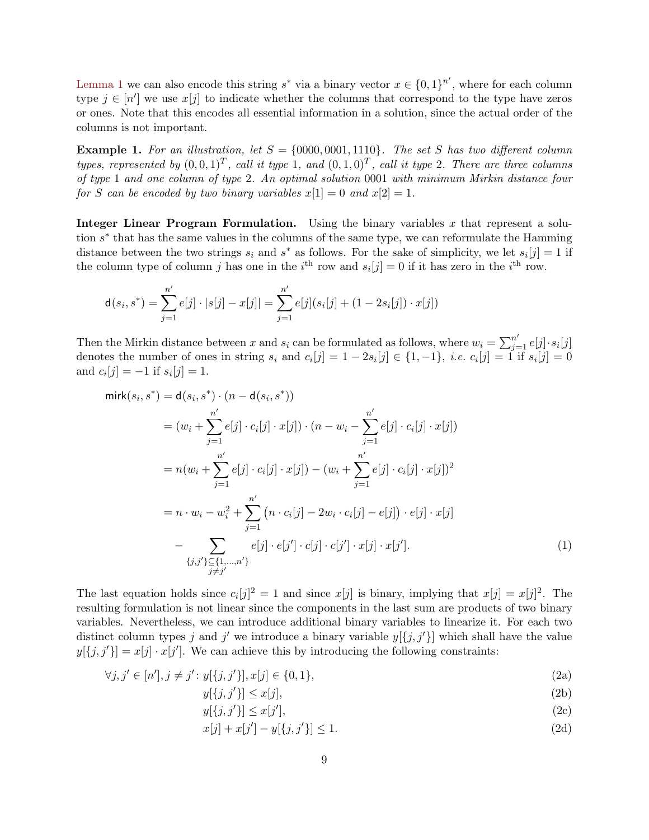[Lemma 1](#page-7-0) we can also encode this string  $s^*$  via a binary vector  $x \in \{0,1\}^{n'}$ , where for each column type  $j \in [n']$  we use  $x[j]$  to indicate whether the columns that correspond to the type have zeros or ones. Note that this encodes all essential information in a solution, since the actual order of the columns is not important.

**Example 1.** For an illustration, let  $S = \{0000, 0001, 1110\}$ . The set S has two different column types, represented by  $(0,0,1)^T$ , call it type 1, and  $(0,1,0)^T$ , call it type 2. There are three columns of type 1 and one column of type 2. An optimal solution 0001 with minimum Mirkin distance four for S can be encoded by two binary variables  $x[1] = 0$  and  $x[2] = 1$ .

**Integer Linear Program Formulation.** Using the binary variables x that represent a solution s<sup>\*</sup> that has the same values in the columns of the same type, we can reformulate the Hamming distance between the two strings  $s_i$  and  $s^*$  as follows. For the sake of simplicity, we let  $s_i[j] = 1$  if the column type of column j has one in the  $i<sup>th</sup>$  row and  $s<sub>i</sub>[j] = 0$  if it has zero in the  $i<sup>th</sup>$  row.

$$
\mathbf{d}(s_i, s^*) = \sum_{j=1}^{n'} e[j] \cdot |s[j] - x[j]| = \sum_{j=1}^{n'} e[j] (s_i[j] + (1 - 2s_i[j]) \cdot x[j])
$$

Then the Mirkin distance between x and  $s_i$  can be formulated as follows, where  $w_i = \sum_{j=1}^{n'} e[j] \cdot s_i[j]$ denotes the number of ones in string  $s_i$  and  $c_i[j] = 1 - 2s_i[j] \in \{1, -1\}$ , *i.e.*  $c_i[j] = 1$  if  $s_i[j] = 0$ and  $c_i[j] = -1$  if  $s_i[j] = 1$ .

$$
\begin{split}\n\text{mirk}(s_i, s^*) &= \mathbf{d}(s_i, s^*) \cdot (n - \mathbf{d}(s_i, s^*)) \\
&= (w_i + \sum_{j=1}^{n'} e[j] \cdot c_i[j] \cdot x[j]) \cdot (n - w_i - \sum_{j=1}^{n'} e[j] \cdot c_i[j] \cdot x[j]) \\
&= n(w_i + \sum_{j=1}^{n'} e[j] \cdot c_i[j] \cdot x[j]) - (w_i + \sum_{j=1}^{n'} e[j] \cdot c_i[j] \cdot x[j])^2 \\
&= n \cdot w_i - w_i^2 + \sum_{j=1}^{n'} \left( n \cdot c_i[j] - 2w_i \cdot c_i[j] - e[j] \right) \cdot e[j] \cdot x[j] \\
&- \sum_{\{j,j'\} \subseteq \{1, \dots, n'\}} e[j] \cdot e[j'] \cdot c[j] \cdot c[j'] \cdot x[j] \cdot x[j'].\n\end{split} \tag{1}
$$

The last equation holds since  $c_i[j]^2 = 1$  and since  $x[j]$  is binary, implying that  $x[j] = x[j]^2$ . The resulting formulation is not linear since the components in the last sum are products of two binary variables. Nevertheless, we can introduce additional binary variables to linearize it. For each two distinct column types j and j' we introduce a binary variable  $y[\{j, j'\}]$  which shall have the value  $y[\{j, j'\}] = x[j] \cdot x[j']$ . We can achieve this by introducing the following constraints:

$$
\forall j, j' \in [n'], j \neq j': y[\{j, j'\}], x[j] \in \{0, 1\},\tag{2a}
$$

<span id="page-8-1"></span><span id="page-8-0"></span>
$$
y[\{j, j'\}] \le x[j],\tag{2b}
$$

$$
y[\{j, j'\}] \le x[j'],\tag{2c}
$$

<span id="page-8-2"></span>
$$
x[j] + x[j'] - y[\{j, j'\}] \le 1.
$$
\n(2d)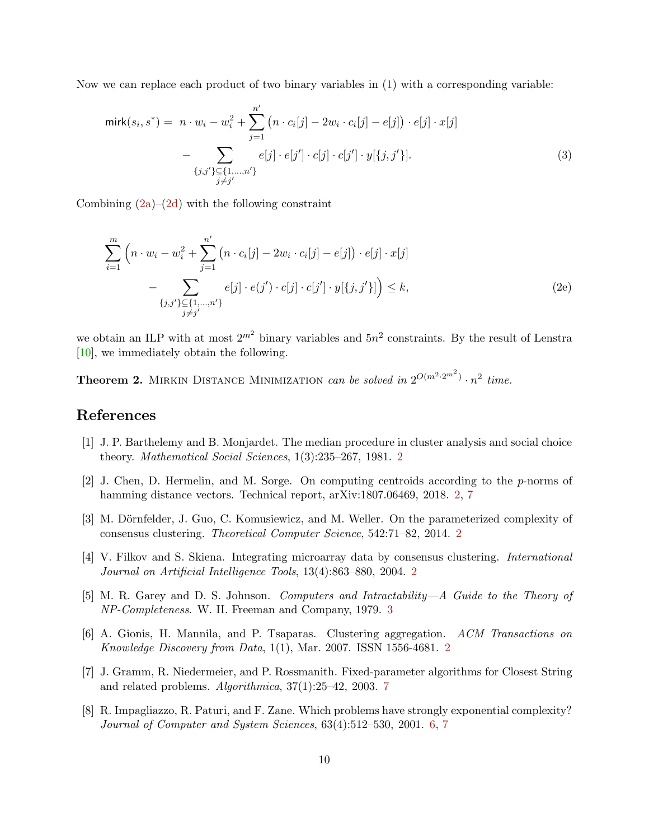<span id="page-9-8"></span>Now we can replace each product of two binary variables in [\(1\)](#page-8-0) with a corresponding variable:

$$
\text{mirk}(s_i, s^*) = n \cdot w_i - w_i^2 + \sum_{j=1}^{n'} (n \cdot c_i[j] - 2w_i \cdot c_i[j] - e[j]) \cdot e[j] \cdot x[j] - \sum_{\{j,j'\} \subseteq \{1, \dots, n'\}} e[j] \cdot e[j'] \cdot c[j] \cdot c[j'] \cdot y[\{j, j'\}].
$$
\n(3)

Combining  $(2a)-(2d)$  $(2a)-(2d)$  with the following constraint

$$
\sum_{i=1}^{m} \left( n \cdot w_i - w_i^2 + \sum_{j=1}^{n'} \left( n \cdot c_i[j] - 2w_i \cdot c_i[j] - e[j] \right) \cdot e[j] \cdot x[j] - \sum_{\{j,j'\} \subseteq \{1,\dots,n'\}} e[j] \cdot e(j') \cdot c[j] \cdot c[j'] \cdot y[\{j,j'\}] \right) \le k,
$$
\n(2e)

we obtain an ILP with at most  $2^{m^2}$  binary variables and  $5n^2$  constraints. By the result of Lenstra [\[10\]](#page-10-4), we immediately obtain the following.

**Theorem 2.** MIRKIN DISTANCE MINIMIZATION can be solved in  $2^{O(m^2 \cdot 2^{m^2})} \cdot n^2$  time.

### References

- <span id="page-9-2"></span>[1] J. P. Barthelemy and B. Monjardet. The median procedure in cluster analysis and social choice theory. Mathematical Social Sciences, 1(3):235–267, 1981. [2](#page-1-1)
- <span id="page-9-4"></span>[2] J. Chen, D. Hermelin, and M. Sorge. On computing centroids according to the  $p$ -norms of hamming distance vectors. Technical report, arXiv:1807.06469, 2018. [2,](#page-1-1) [7](#page-6-0)
- <span id="page-9-3"></span>[3] M. Dörnfelder, J. Guo, C. Komusiewicz, and M. Weller. On the parameterized complexity of consensus clustering. Theoretical Computer Science, 542:71–82, 2014. [2](#page-1-1)
- <span id="page-9-1"></span>[4] V. Filkov and S. Skiena. Integrating microarray data by consensus clustering. International Journal on Artificial Intelligence Tools, 13(4):863–880, 2004. [2](#page-1-1)
- <span id="page-9-5"></span>[5] M. R. Garey and D. S. Johnson. Computers and Intractability—A Guide to the Theory of NP-Completeness. W. H. Freeman and Company, 1979. [3](#page-2-2)
- <span id="page-9-0"></span>[6] A. Gionis, H. Mannila, and P. Tsaparas. Clustering aggregation. ACM Transactions on Knowledge Discovery from Data, 1(1), Mar. 2007. ISSN 1556-4681. [2](#page-1-1)
- <span id="page-9-7"></span>[7] J. Gramm, R. Niedermeier, and P. Rossmanith. Fixed-parameter algorithms for Closest String and related problems. Algorithmica, 37(1):25–42, 2003. [7](#page-6-0)
- <span id="page-9-6"></span>[8] R. Impagliazzo, R. Paturi, and F. Zane. Which problems have strongly exponential complexity? Journal of Computer and System Sciences, 63(4):512–530, 2001. [6,](#page-5-0) [7](#page-6-0)